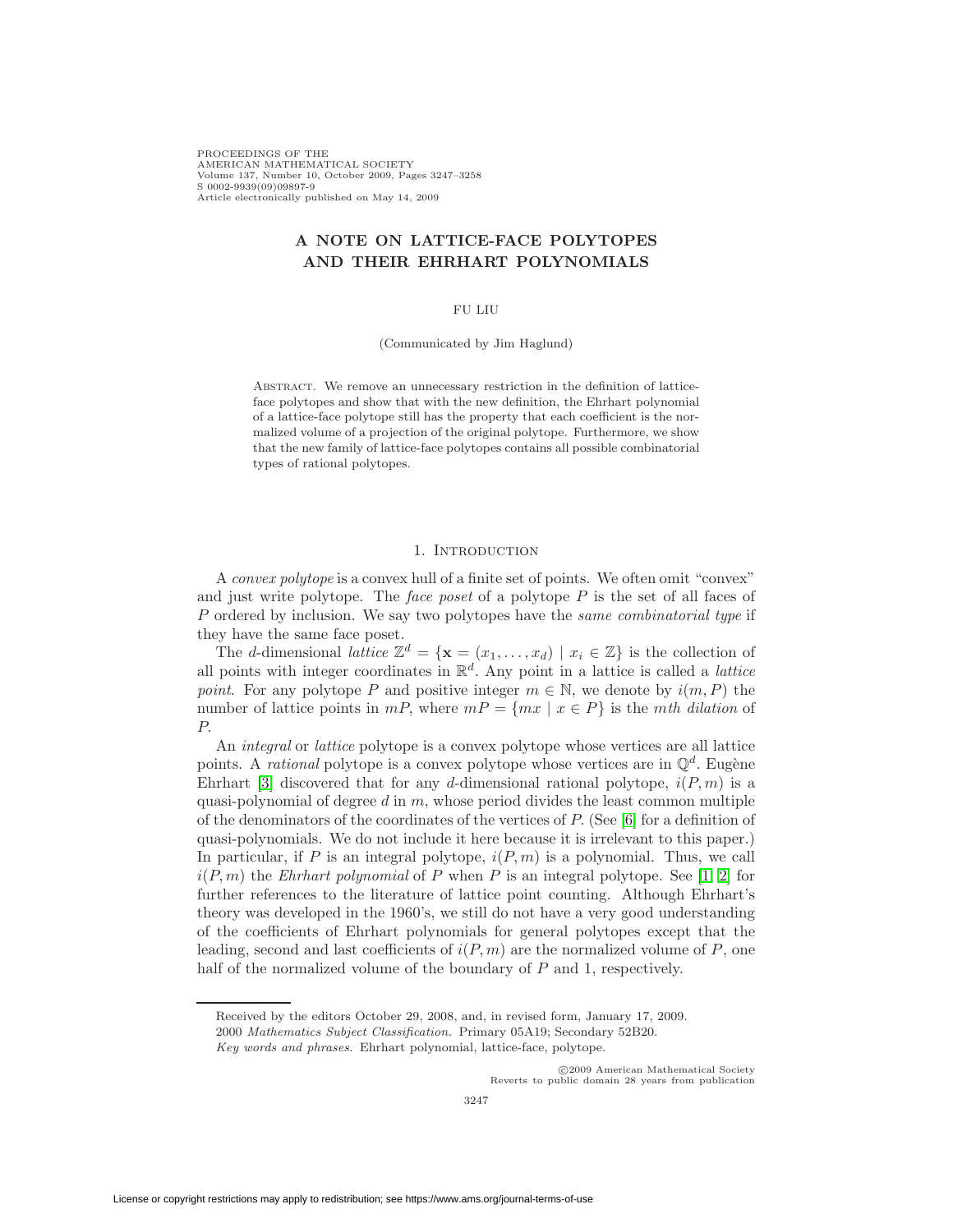PROCEEDINGS OF THE AMERICAN MATHEMATICAL SOCIETY Volume 137, Number 10, October 2009, Pages 3247–3258 S 0002-9939(09)09897-9 Article electronically published on May 14, 2009

# **A NOTE ON LATTICE-FACE POLYTOPES AND THEIR EHRHART POLYNOMIALS**

### FU LIU

(Communicated by Jim Haglund)

ABSTRACT. We remove an unnecessary restriction in the definition of latticeface polytopes and show that with the new definition, the Ehrhart polynomial of a lattice-face polytope still has the property that each coefficient is the normalized volume of a projection of the original polytope. Furthermore, we show that the new family of lattice-face polytopes contains all possible combinatorial types of rational polytopes.

#### 1. INTRODUCTION

A convex polytope is a convex hull of a finite set of points. We often omit "convex" and just write polytope. The *face poset* of a polytope  $P$  is the set of all faces of  $P$  ordered by inclusion. We say two polytopes have the same combinatorial type if they have the same face poset.

The d-dimensional lattice  $\mathbb{Z}^d = {\mathbf{x} = (x_1, \ldots, x_d) \mid x_i \in \mathbb{Z}}$  is the collection of all points with integer coordinates in  $\mathbb{R}^d$ . Any point in a lattice is called a *lattice* point. For any polytope P and positive integer  $m \in \mathbb{N}$ , we denote by  $i(m, P)$  the number of lattice points in  $mP$ , where  $mP = \{mx \mid x \in P\}$  is the *mth dilation* of P.

An integral or lattice polytope is a convex polytope whose vertices are all lattice points. A *rational* polytope is a convex polytope whose vertices are in  $\mathbb{Q}^d$ . Eugène Ehrhart [\[3\]](#page-10-0) discovered that for any d-dimensional rational polytope,  $i(P, m)$  is a quasi-polynomial of degree  $d$  in  $m$ , whose period divides the least common multiple of the denominators of the coordinates of the vertices of  $P$ . (See [\[6\]](#page-11-0) for a definition of quasi-polynomials. We do not include it here because it is irrelevant to this paper.) In particular, if P is an integral polytope,  $i(P, m)$  is a polynomial. Thus, we call  $i(P, m)$  the *Ehrhart polynomial* of P when P is an integral polytope. See [\[1,](#page-10-1) [2\]](#page-10-2) for further references to the literature of lattice point counting. Although Ehrhart's theory was developed in the 1960's, we still do not have a very good understanding of the coefficients of Ehrhart polynomials for general polytopes except that the leading, second and last coefficients of  $i(P, m)$  are the normalized volume of P, one half of the normalized volume of the boundary of  $P$  and 1, respectively.

⃝c 2009 American Mathematical Society Reverts to public domain 28 years from publication

Received by the editors October 29, 2008, and, in revised form, January 17, 2009.

<sup>2000</sup> Mathematics Subject Classification. Primary 05A19; Secondary 52B20.

Key words and phrases. Ehrhart polynomial, lattice-face, polytope.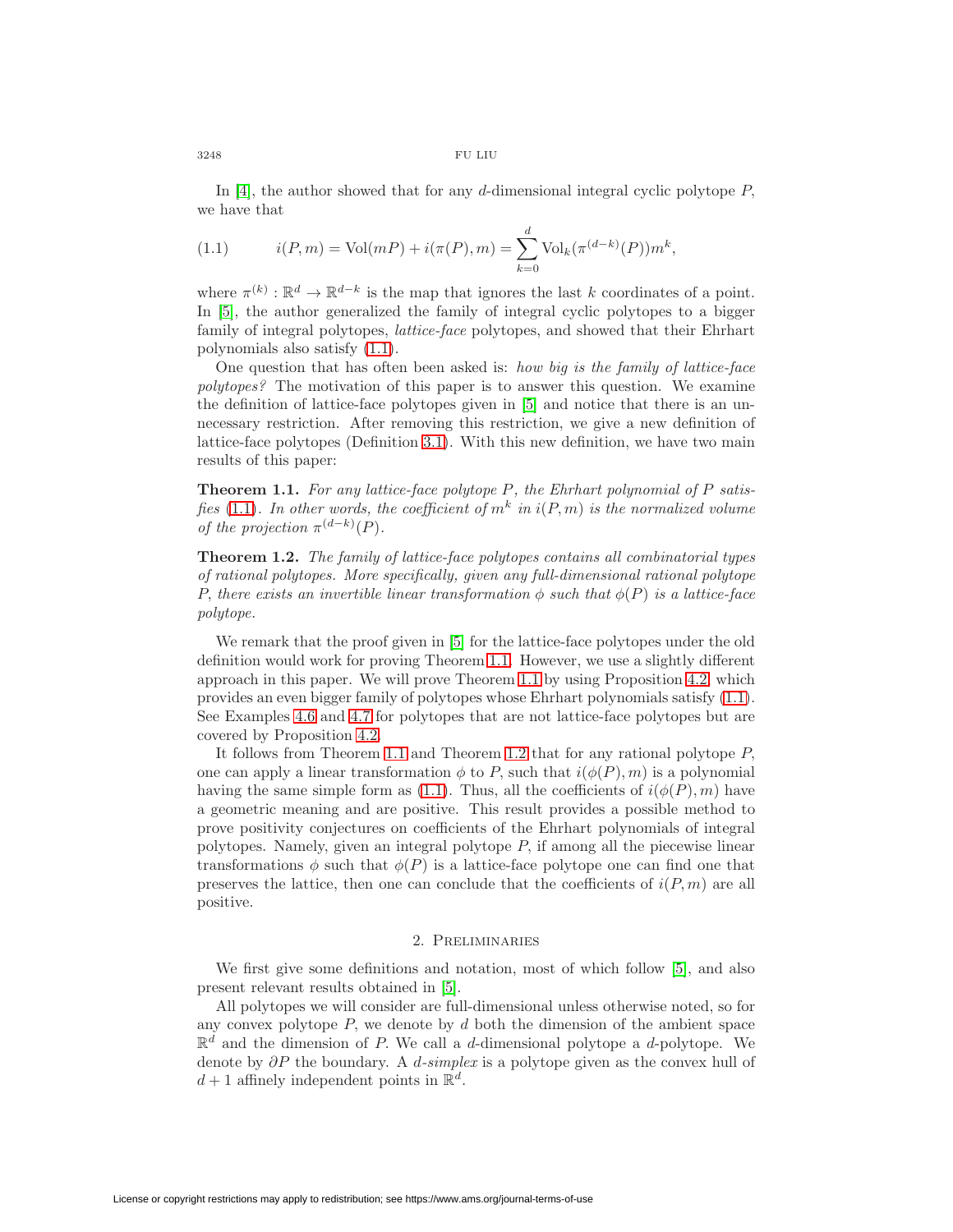$3248$   $\,$  FU LIU

<span id="page-1-0"></span>In [\[4\]](#page-10-3), the author showed that for any d-dimensional integral cyclic polytope  $P$ , we have that

(1.1) 
$$
i(P,m) = Vol(mP) + i(\pi(P), m) = \sum_{k=0}^{d} Vol_k(\pi^{(d-k)}(P)) m^k,
$$

where  $\pi^{(k)} : \mathbb{R}^d \to \mathbb{R}^{d-k}$  is the map that ignores the last k coordinates of a point. In [\[5\]](#page-11-1), the author generalized the family of integral cyclic polytopes to a bigger family of integral polytopes, lattice-face polytopes, and showed that their Ehrhart polynomials also satisfy [\(1.1\)](#page-1-0).

One question that has often been asked is: how big is the family of lattice-face polytopes? The motivation of this paper is to answer this question. We examine the definition of lattice-face polytopes given in [\[5\]](#page-11-1) and notice that there is an unnecessary restriction. After removing this restriction, we give a new definition of lattice-face polytopes (Definition [3.1\)](#page-3-0). With this new definition, we have two main results of this paper:

<span id="page-1-1"></span>**Theorem 1.1.** For any lattice-face polytope  $P$ , the Ehrhart polynomial of  $P$  satis-fies [\(1.1\)](#page-1-0). In other words, the coefficient of  $m^k$  in  $i(P, m)$  is the normalized volume of the projection  $\pi^{(d-k)}(P)$ .

<span id="page-1-2"></span>**Theorem 1.2.** The family of lattice-face polytopes contains all combinatorial types of rational polytopes. More specifically, given any full-dimensional rational polytope P, there exists an invertible linear transformation  $\phi$  such that  $\phi(P)$  is a lattice-face polytope.

We remark that the proof given in [\[5\]](#page-11-1) for the lattice-face polytopes under the old definition would work for proving Theorem [1.1.](#page-1-1) However, we use a slightly different approach in this paper. We will prove Theorem [1.1](#page-1-1) by using Proposition [4.2,](#page-5-0) which provides an even bigger family of polytopes whose Ehrhart polynomials satisfy [\(1.1\)](#page-1-0). See Examples [4.6](#page-6-0) and [4.7](#page-6-1) for polytopes that are not lattice-face polytopes but are covered by Proposition [4.2.](#page-5-0)

It follows from Theorem [1.1](#page-1-1) and Theorem [1.2](#page-1-2) that for any rational polytope  $P$ , one can apply a linear transformation  $\phi$  to P, such that  $i(\phi(P), m)$  is a polynomial having the same simple form as [\(1.1\)](#page-1-0). Thus, all the coefficients of  $i(\phi(P), m)$  have a geometric meaning and are positive. This result provides a possible method to prove positivity conjectures on coefficients of the Ehrhart polynomials of integral polytopes. Namely, given an integral polytope  $P$ , if among all the piecewise linear transformations  $\phi$  such that  $\phi(P)$  is a lattice-face polytope one can find one that preserves the lattice, then one can conclude that the coefficients of  $i(P, m)$  are all positive.

### 2. Preliminaries

We first give some definitions and notation, most of which follow [\[5\]](#page-11-1), and also present relevant results obtained in [\[5\]](#page-11-1).

All polytopes we will consider are full-dimensional unless otherwise noted, so for any convex polytope  $P$ , we denote by  $d$  both the dimension of the ambient space  $\mathbb{R}^d$  and the dimension of P. We call a d-dimensional polytope a d-polytope. We denote by  $\partial P$  the boundary. A d-simplex is a polytope given as the convex hull of  $d+1$  affinely independent points in  $\mathbb{R}^d$ .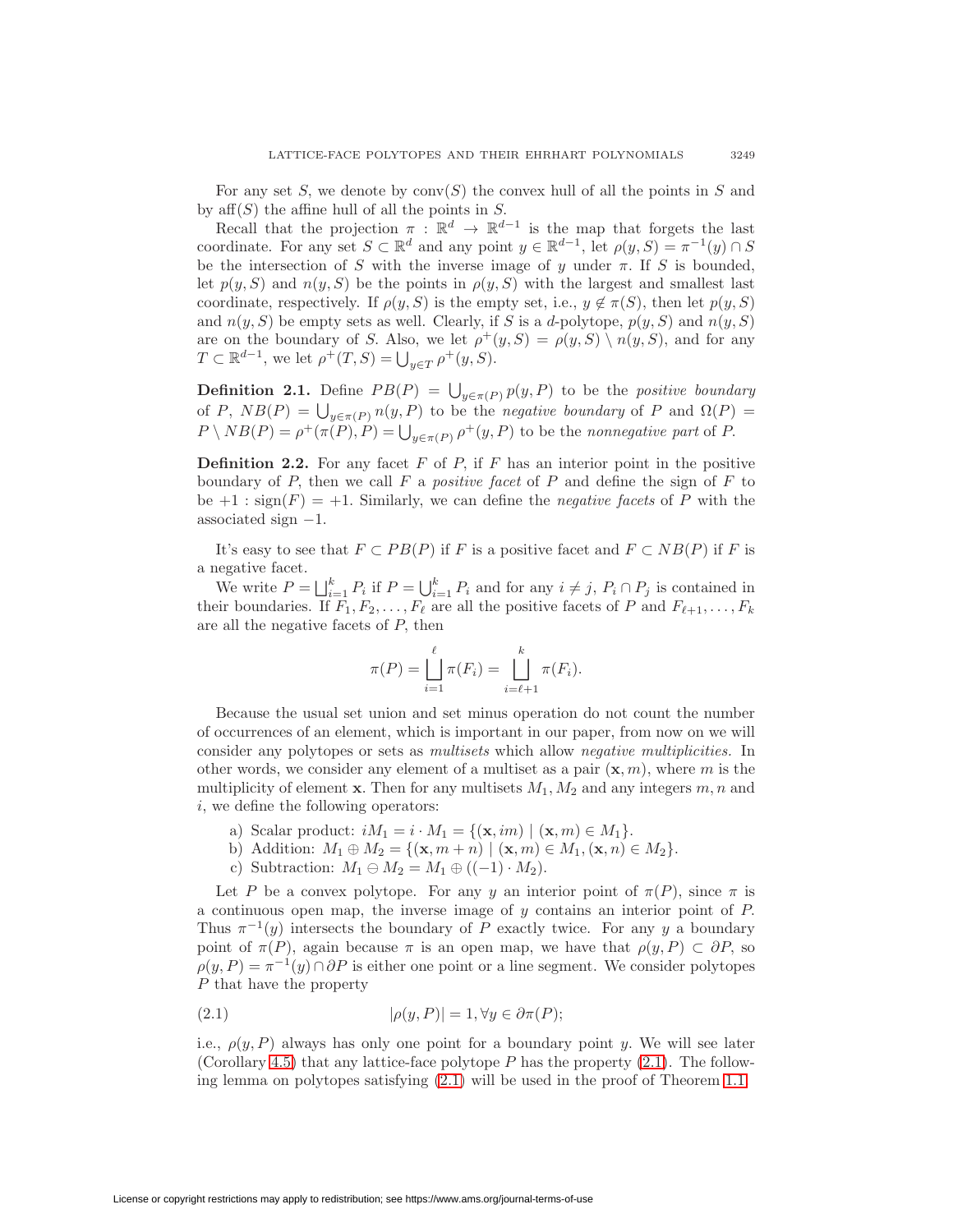For any set S, we denote by  $conv(S)$  the convex hull of all the points in S and by  $aff(S)$  the affine hull of all the points in S.

Recall that the projection  $\pi : \mathbb{R}^d \to \mathbb{R}^{d-1}$  is the map that forgets the last coordinate. For any set  $S \subset \mathbb{R}^d$  and any point  $y \in \mathbb{R}^{d-1}$ , let  $\rho(y, S) = \pi^{-1}(y) \cap S$ be the intersection of  $S$  with the inverse image of  $y$  under  $\pi$ . If  $S$  is bounded, let  $p(y, S)$  and  $n(y, S)$  be the points in  $p(y, S)$  with the largest and smallest last coordinate, respectively. If  $\rho(y, S)$  is the empty set, i.e.,  $y \notin \pi(S)$ , then let  $p(y, S)$ and  $n(y, S)$  be empty sets as well. Clearly, if S is a d-polytope,  $p(y, S)$  and  $n(y, S)$ are on the boundary of S. Also, we let  $\rho^+(y, S) = \rho(y, S) \setminus n(y, S)$ , and for any  $T \subset \mathbb{R}^{d-1}$ , we let  $\rho^+(T, S) = \bigcup_{y \in T} \rho^+(y, S)$ .

**Definition 2.1.** Define  $PB(P) = \bigcup_{y \in \pi(P)} p(y, P)$  to be the positive boundary of P,  $NB(P) = \bigcup_{y \in \pi(P)} n(y, P)$  to be the *negative boundary* of P and  $\Omega(P)$  =  $P \setminus NB(P) = \rho^+(\pi(P), P) = \bigcup_{y \in \pi(P)} \rho^+(y, P)$  to be the nonnegative part of P.

**Definition 2.2.** For any facet  $F$  of  $P$ , if  $F$  has an interior point in the positive boundary of  $P$ , then we call  $F$  a *positive facet* of  $P$  and define the sign of  $F$  to be  $+1$ :  $sign(F) = +1$ . Similarly, we can define the *negative facets* of P with the associated sign  $-1$ .

It's easy to see that  $F \subset PB(P)$  if F is a positive facet and  $F \subset NB(P)$  if F is a negative facet.

We write  $P = \bigsqcup_{i=1}^k P_i$  if  $P = \bigcup_{i=1}^k P_i$  and for any  $i \neq j$ ,  $P_i \cap P_j$  is contained in their boundaries. If  $F_1, F_2, \ldots, F_\ell$  are all the positive facets of P and  $F_{\ell+1}, \ldots, F_k$ are all the negative facets of  $P$ , then

$$
\pi(P) = \bigsqcup_{i=1}^{\ell} \pi(F_i) = \bigsqcup_{i=\ell+1}^{k} \pi(F_i).
$$

Because the usual set union and set minus operation do not count the number of occurrences of an element, which is important in our paper, from now on we will consider any polytopes or sets as multisets which allow negative multiplicities. In other words, we consider any element of a multiset as a pair  $(\mathbf{x}, m)$ , where m is the multiplicity of element **x**. Then for any multisets  $M_1, M_2$  and any integers  $m, n$  and  $i$ , we define the following operators:

- a) Scalar product:  $iM_1 = i \cdot M_1 = \{(\mathbf{x}, im) \mid (\mathbf{x}, m) \in M_1\}.$
- b) Addition:  $M_1 \oplus M_2 = \{ (\mathbf{x}, m+n) \mid (\mathbf{x}, m) \in M_1, (\mathbf{x}, n) \in M_2 \}.$
- c) Subtraction:  $M_1 \oplus M_2 = M_1 \oplus ((-1) \cdot M_2)$ .

Let P be a convex polytope. For any y an interior point of  $\pi(P)$ , since  $\pi$  is a continuous open map, the inverse image of  $y$  contains an interior point of  $P$ . Thus  $\pi^{-1}(y)$  intersects the boundary of P exactly twice. For any y a boundary point of  $\pi(P)$ , again because  $\pi$  is an open map, we have that  $\rho(y, P) \subset \partial P$ , so  $\rho(y, P) = \pi^{-1}(y) \cap \partial P$  is either one point or a line segment. We consider polytopes  $P$  that have the property

<span id="page-2-0"></span>(2.1) 
$$
|\rho(y, P)| = 1, \forall y \in \partial \pi(P);
$$

<span id="page-2-1"></span>i.e.,  $\rho(y, P)$  always has only one point for a boundary point y. We will see later (Corollary [4.5\)](#page-5-1) that any lattice-face polytope  $P$  has the property  $(2.1)$ . The following lemma on polytopes satisfying [\(2.1\)](#page-2-0) will be used in the proof of Theorem [1.1.](#page-1-1)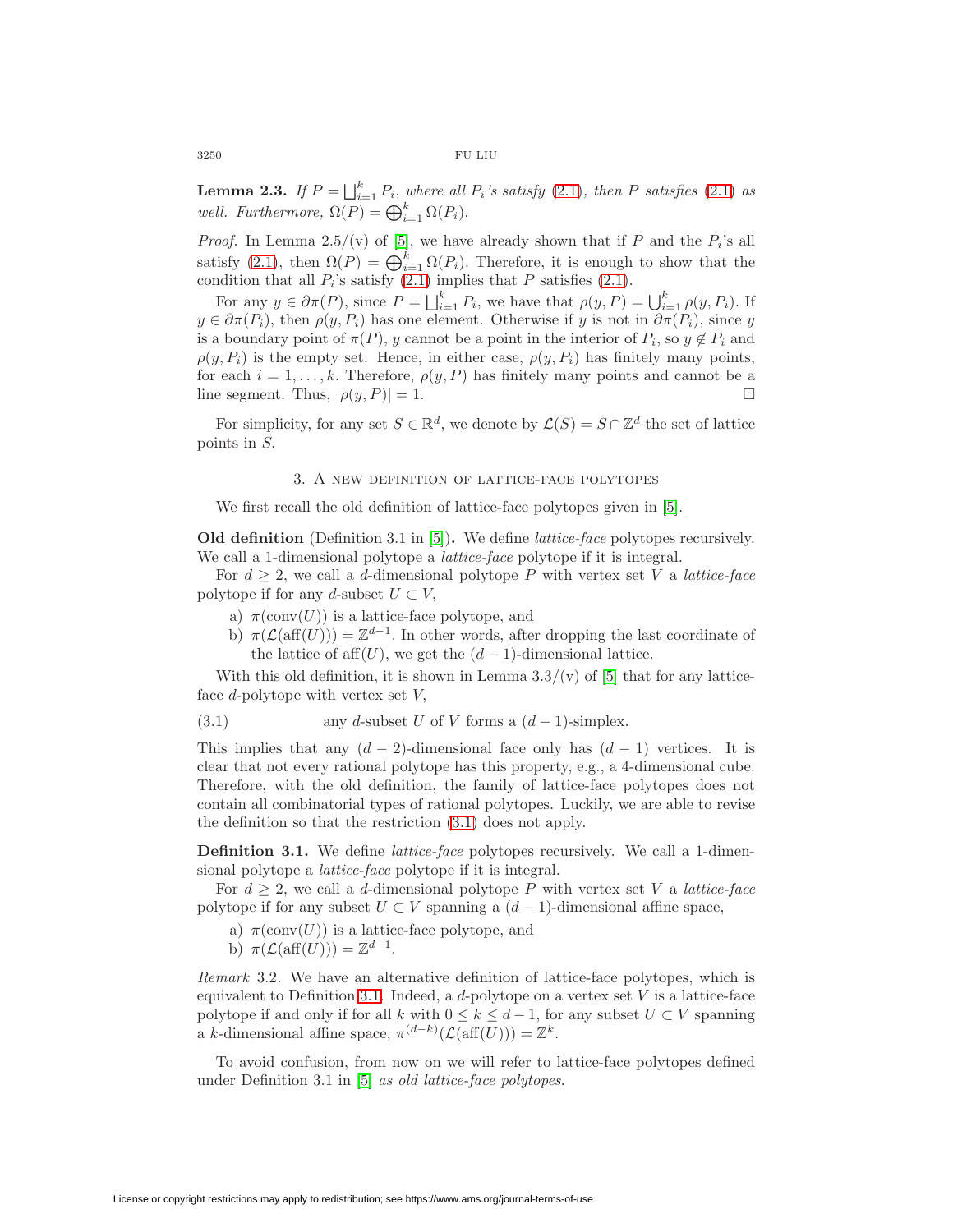**Lemma 2.3.** If  $P = \bigsqcup_{i=1}^{k} P_i$ , where all  $P_i$ 's satisfy [\(2.1\)](#page-2-0), then  $P$  satisfies (2.1) as well. Furthermore,  $\Omega(P) = \bigoplus_{i=1}^k \Omega(P_i)$ .

*Proof.* In Lemma 2.5/(v) of [\[5\]](#page-11-1), we have already shown that if  $P$  and the  $P_i$ 's all satisfy [\(2.1\)](#page-2-0), then  $\Omega(P) = \bigoplus_{i=1}^{k} \Omega(P_i)$ . Therefore, it is enough to show that the condition that all  $P_i$ 's satisfy  $(2.1)$  implies that  $P$  satisfies  $(2.1)$ .

For any  $y \in \partial \pi(P)$ , since  $P = \bigsqcup_{i=1}^{k} P_i$ , we have that  $\rho(y, P) = \bigcup_{i=1}^{k} \rho(y, P_i)$ . If  $y \in \partial \pi(P_i)$ , then  $\rho(y, P_i)$  has one element. Otherwise if  $y$  is not in  $\partial \pi(P_i)$ , since  $y$ is a boundary point of  $\pi(P)$ , y cannot be a point in the interior of  $P_i$ , so  $y \notin P_i$  and  $\rho(y, P_i)$  is the empty set. Hence, in either case,  $\rho(y, P_i)$  has finitely many points, for each  $i = 1, ..., k$ . Therefore,  $\rho(y, P)$  has finitely many points and cannot be a line segment. Thus,  $|\rho(y, P)| = 1$ . □

For simplicity, for any set  $S \in \mathbb{R}^d$ , we denote by  $\mathcal{L}(S) = S \cap \mathbb{Z}^d$  the set of lattice points in  $S$ .

#### 3. A new definition of lattice-face polytopes

We first recall the old definition of lattice-face polytopes given in [\[5\]](#page-11-1).

**Old definition** (Definition 3.1 in [\[5\]](#page-11-1))**.** We define lattice-face polytopes recursively. We call a 1-dimensional polytope a *lattice-face* polytope if it is integral.

For  $d \geq 2$ , we call a d-dimensional polytope P with vertex set V a lattice-face polytope if for any d-subset  $U \subset V$ ,

- a)  $\pi(\text{conv}(U))$  is a lattice-face polytope, and
- <span id="page-3-1"></span>b)  $\pi(\mathcal{L}(aff(U))) = \mathbb{Z}^{d-1}$ . In other words, after dropping the last coordinate of the lattice of aff $(U)$ , we get the  $(d-1)$ -dimensional lattice.

With this old definition, it is shown in Lemma  $3.3/(v)$  of [\[5\]](#page-11-1) that for any latticeface  $d$ -polytope with vertex set  $V$ ,

(3.1) any *d*-subset 
$$
U
$$
 of  $V$  forms a  $(d-1)$ -simplex.

This implies that any  $(d-2)$ -dimensional face only has  $(d-1)$  vertices. It is clear that not every rational polytope has this property, e.g., a 4-dimensional cube. Therefore, with the old definition, the family of lattice-face polytopes does not contain all combinatorial types of rational polytopes. Luckily, we are able to revise the definition so that the restriction [\(3.1\)](#page-3-1) does not apply.

<span id="page-3-0"></span>**Definition 3.1.** We define *lattice-face* polytopes recursively. We call a 1-dimensional polytope a lattice-face polytope if it is integral.

For  $d \geq 2$ , we call a d-dimensional polytope P with vertex set V a lattice-face polytope if for any subset  $U \subset V$  spanning a  $(d-1)$ -dimensional affine space,

- a)  $\pi(\text{conv}(U))$  is a lattice-face polytope, and
- b)  $\pi(\mathcal{L}(\text{aff}(U))) = \mathbb{Z}^{d-1}$ .

<span id="page-3-2"></span>Remark 3.2. We have an alternative definition of lattice-face polytopes, which is equivalent to Definition [3.1.](#page-3-0) Indeed, a  $d$ -polytope on a vertex set  $V$  is a lattice-face polytope if and only if for all k with  $0 \leq k \leq d-1$ , for any subset  $U \subset V$  spanning a k-dimensional affine space,  $\pi^{(d-k)}(\mathcal{L}(\text{aff}(U))) = \mathbb{Z}^k$ .

To avoid confusion, from now on we will refer to lattice-face polytopes defined under Definition 3.1 in [\[5\]](#page-11-1) as old lattice-face polytopes.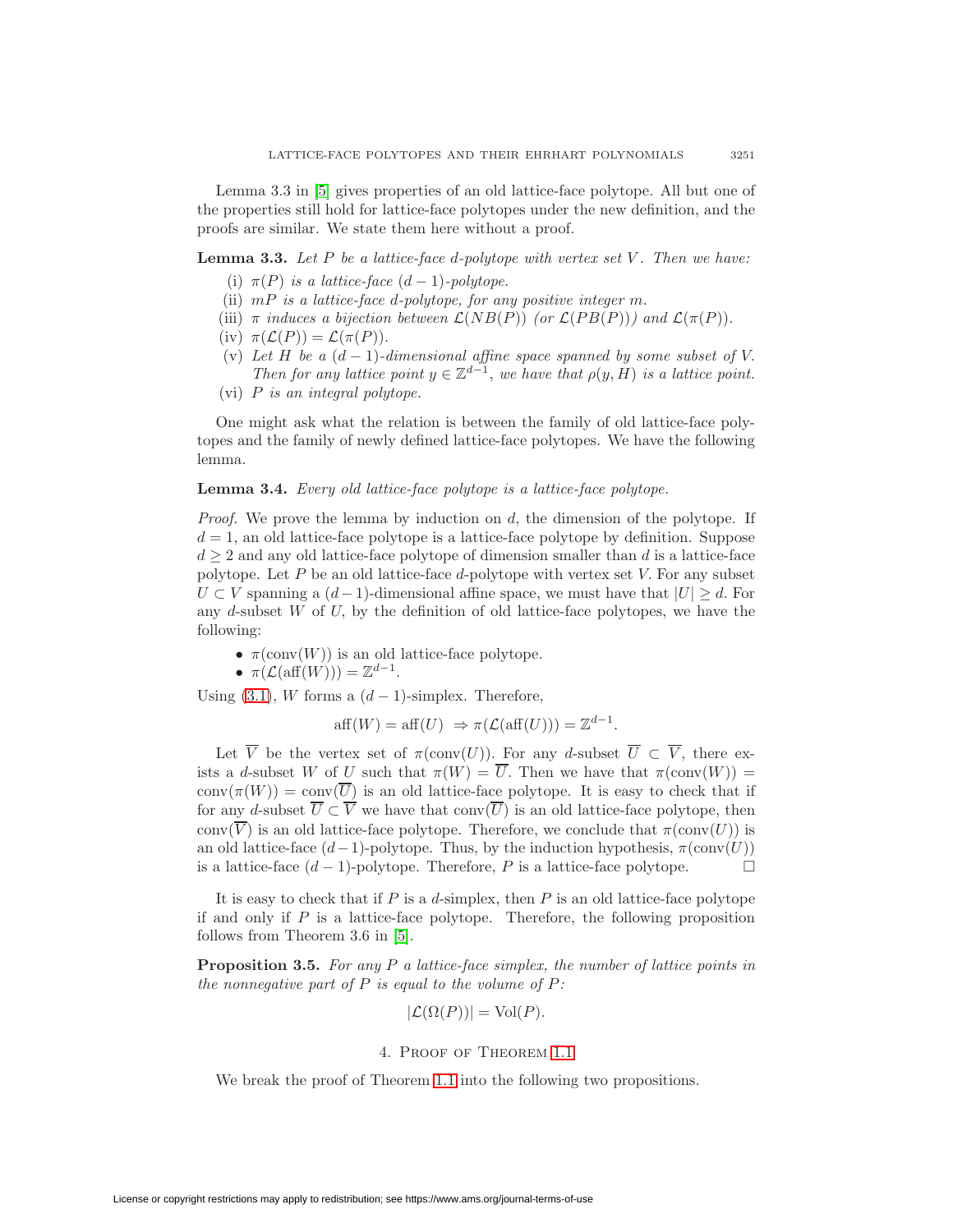Lemma 3.3 in [\[5\]](#page-11-1) gives properties of an old lattice-face polytope. All but one of the properties still hold for lattice-face polytopes under the new definition, and the proofs are similar. We state them here without a proof.

<span id="page-4-1"></span>**Lemma 3.3.** Let  $P$  be a lattice-face d-polytope with vertex set  $V$ . Then we have:

- (i)  $\pi(P)$  is a lattice-face  $(d-1)$ -polytope.
- (ii)  $mP$  is a lattice-face d-polytope, for any positive integer m.
- (iii)  $\pi$  induces a bijection between  $\mathcal{L}(NB(P))$  (or  $\mathcal{L}(PB(P))$ ) and  $\mathcal{L}(\pi(P))$ .
- (iv)  $\pi(\mathcal{L}(P)) = \mathcal{L}(\pi(P)).$
- (v) Let  $H$  be a  $(d-1)$ -dimensional affine space spanned by some subset of V. Then for any lattice point  $y \in \mathbb{Z}^{d-1}$ , we have that  $\rho(y, H)$  is a lattice point.
- (vi)  $P$  is an integral polytope.

One might ask what the relation is between the family of old lattice-face polytopes and the family of newly defined lattice-face polytopes. We have the following lemma.

### **Lemma 3.4.** Every old lattice-face polytope is a lattice-face polytope.

*Proof.* We prove the lemma by induction on  $d$ , the dimension of the polytope. If  $d = 1$ , an old lattice-face polytope is a lattice-face polytope by definition. Suppose  $d \geq 2$  and any old lattice-face polytope of dimension smaller than  $d$  is a lattice-face polytope. Let  $P$  be an old lattice-face  $d$ -polytope with vertex set  $V$ . For any subset  $U \subset V$  spanning a  $(d-1)$ -dimensional affine space, we must have that  $|U| \geq d$ . For any  $d$ -subset  $W$  of  $U$ , by the definition of old lattice-face polytopes, we have the following:

 $\bullet$   $\pi({\rm conv}(W))$  is an old lattice-face polytope.

• 
$$
\pi(\mathcal{L}(\text{aff}(W))) = \mathbb{Z}^{d-1}
$$
.

Using [\(3.1\)](#page-3-1), *W* forms a  $(d-1)$ -simplex. Therefore,

$$
\text{aff}(W) = \text{aff}(U) \Rightarrow \pi(\mathcal{L}(\text{aff}(U))) = \mathbb{Z}^{d-1}.
$$

Let  $\overline{V}$  be the vertex set of  $\pi(\text{conv}(U))$ . For any d-subset  $\overline{U} \subset \overline{V}$ , there exists a d-subset W of U such that  $\pi(W) = \overline{U}$ . Then we have that  $\pi(\text{conv}(W)) =$  $conv(\pi(W)) = conv(\overline{U})$  is an old lattice-face polytope. It is easy to check that if for any d-subset  $\overline{U} \subset \overline{V}$  we have that conv $(\overline{U})$  is an old lattice-face polytope, then conv $(\overline{V})$  is an old lattice-face polytope. Therefore, we conclude that  $\pi$ (conv(U)) is an old lattice-face  $(d-1)$ -polytope. Thus, by the induction hypothesis,  $\pi(\text{conv}(U))$ is a lattice-face  $(d-1)$ -polytope. Therefore, P is a lattice-face polytope.  $\Box$ 

It is easy to check that if  $P$  is a  $d$ -simplex, then  $P$  is an old lattice-face polytope if and only if  $P$  is a lattice-face polytope. Therefore, the following proposition follows from Theorem 3.6 in [\[5\]](#page-11-1).

**Proposition 3.5.** For any  $P$  a lattice-face simplex, the number of lattice points in the nonnegative part of  $P$  is equal to the volume of  $P$ :

$$
|\mathcal{L}(\Omega(P))| = \text{Vol}(P).
$$

# 4. Proof of Theorem [1.1](#page-1-1)

<span id="page-4-0"></span>We break the proof of Theorem [1.1](#page-1-1) into the following two propositions.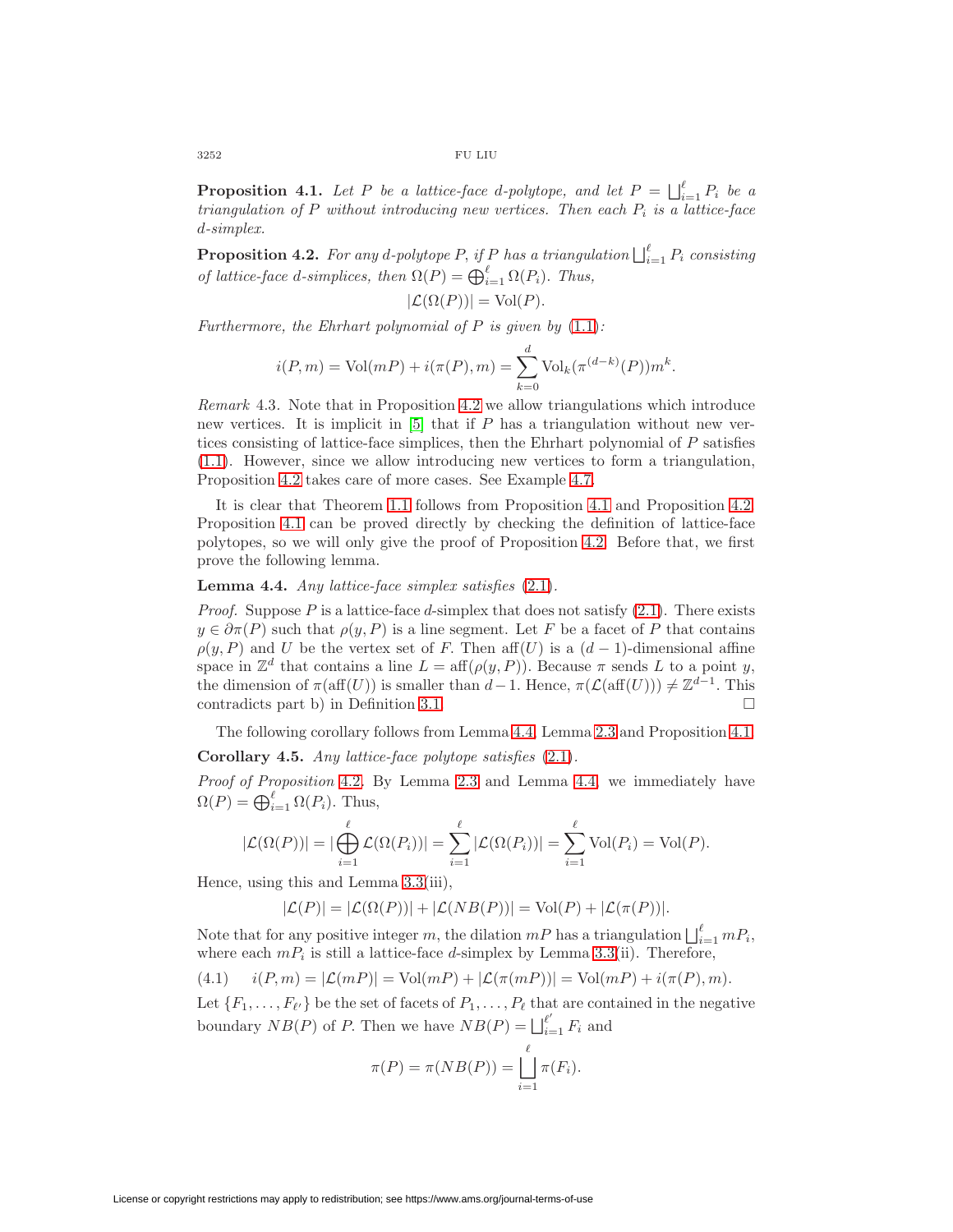$3252\,$   $\,$  FU LIU

**Proposition 4.1.** Let P be a lattice-face d-polytope, and let  $P = \bigsqcup_{i=1}^{\ell} P_i$  be a triangulation of  $P$  without introducing new vertices. Then each  $P_i$  is a lattice-face -simplex.

<span id="page-5-0"></span>**Proposition 4.2.** For any d-polytope P, if P has a triangulation  $\bigcup_{i=1}^{\ell} P_i$  consisting of lattice-face d-simplices, then  $\Omega(P) = \bigoplus_{i=1}^{\ell} \Omega(P_i)$ . Thus,

$$
|\mathcal{L}(\Omega(P))| = \text{Vol}(P).
$$

Furthermore, the Ehrhart polynomial of  $P$  is given by  $(1.1)$ :

$$
i(P,m) = Vol(mP) + i(\pi(P), m) = \sum_{k=0}^{d} Vol_k(\pi^{(d-k)}(P)) m^k.
$$

Remark 4.3. Note that in Proposition [4.2](#page-5-0) we allow triangulations which introduce new vertices. It is implicit in  $[5]$  that if P has a triangulation without new vertices consisting of lattice-face simplices, then the Ehrhart polynomial of  $P$  satisfies [\(1.1\)](#page-1-0). However, since we allow introducing new vertices to form a triangulation, Proposition [4.2](#page-5-0) takes care of more cases. See Example [4.7.](#page-6-1)

It is clear that Theorem [1.1](#page-1-1) follows from Proposition [4.1](#page-4-0) and Proposition [4.2.](#page-5-0) Proposition [4.1](#page-4-0) can be proved directly by checking the definition of lattice-face polytopes, so we will only give the proof of Proposition [4.2.](#page-5-0) Before that, we first prove the following lemma.

### <span id="page-5-2"></span>**Lemma 4.4.** Any lattice-face simplex satisfies [\(2.1\)](#page-2-0).

*Proof.* Suppose P is a lattice-face d-simplex that does not satisfy  $(2.1)$ . There exists  $y \in \partial \pi(P)$  such that  $\rho(y, P)$  is a line segment. Let F be a facet of P that contains  $\rho(y, P)$  and U be the vertex set of F. Then aff(U) is a  $(d-1)$ -dimensional affine space in  $\mathbb{Z}^d$  that contains a line  $L = \text{aff}(\rho(y, P))$ . Because  $\pi$  sends  $L$  to a point  $y$ , the dimension of  $\pi(\text{aff}(U))$  is smaller than  $d-1$ . Hence,  $\pi(\mathcal{L}(\text{aff}(U))) \neq \mathbb{Z}^{d-1}$ . This  $controlicts part b)$  in Definition [3.1.](#page-3-0)

The following corollary follows from Lemma [4.4,](#page-5-2) Lemma [2.3](#page-2-1) and Proposition [4.1.](#page-4-0)

<span id="page-5-1"></span>**Corollary 4.5.** Any lattice-face polytope satisfies [\(2.1\)](#page-2-0).

Proof of Proposition [4.2](#page-5-0). By Lemma [2.3](#page-2-1) and Lemma [4.4,](#page-5-2) we immediately have  $\Omega(P) = \bigoplus_{i=1}^{\ell} \Omega(P_i)$ . Thus,

$$
|\mathcal{L}(\Omega(P))| = |\bigoplus_{i=1}^{\ell} \mathcal{L}(\Omega(P_i))| = \sum_{i=1}^{\ell} |\mathcal{L}(\Omega(P_i))| = \sum_{i=1}^{\ell} \text{Vol}(P_i) = \text{Vol}(P).
$$

Hence, using this and Lemma [3.3\(](#page-4-1)iii),

$$
|\mathcal{L}(P)| = |\mathcal{L}(\Omega(P))| + |\mathcal{L}(NB(P))| = \text{Vol}(P) + |\mathcal{L}(\pi(P))|.
$$

Note that for any positive integer m, the dilation  $mP$  has a triangulation  $\bigsqcup_{i=1}^{\ell} mP_i$ , where each  $mP_i$  is still a lattice-face d-simplex by Lemma [3.3\(](#page-4-1)ii). Therefore,

(4.1) 
$$
i(P,m) = |\mathcal{L}(mP)| = Vol(mP) + |\mathcal{L}(\pi(mP))| = Vol(mP) + i(\pi(P), m).
$$

Let  $\{F_1,\ldots,F_{\ell'}\}$  be the set of facets of  $P_1,\ldots,P_{\ell}$  that are contained in the negative boundary  $NB(P)$  of P. Then we have  $NB(P) = \bigsqcup_{i=1}^{l'} F_i$  and

<span id="page-5-3"></span>
$$
\pi(P) = \pi(NB(P)) = \bigsqcup_{i=1}^{\ell} \pi(F_i).
$$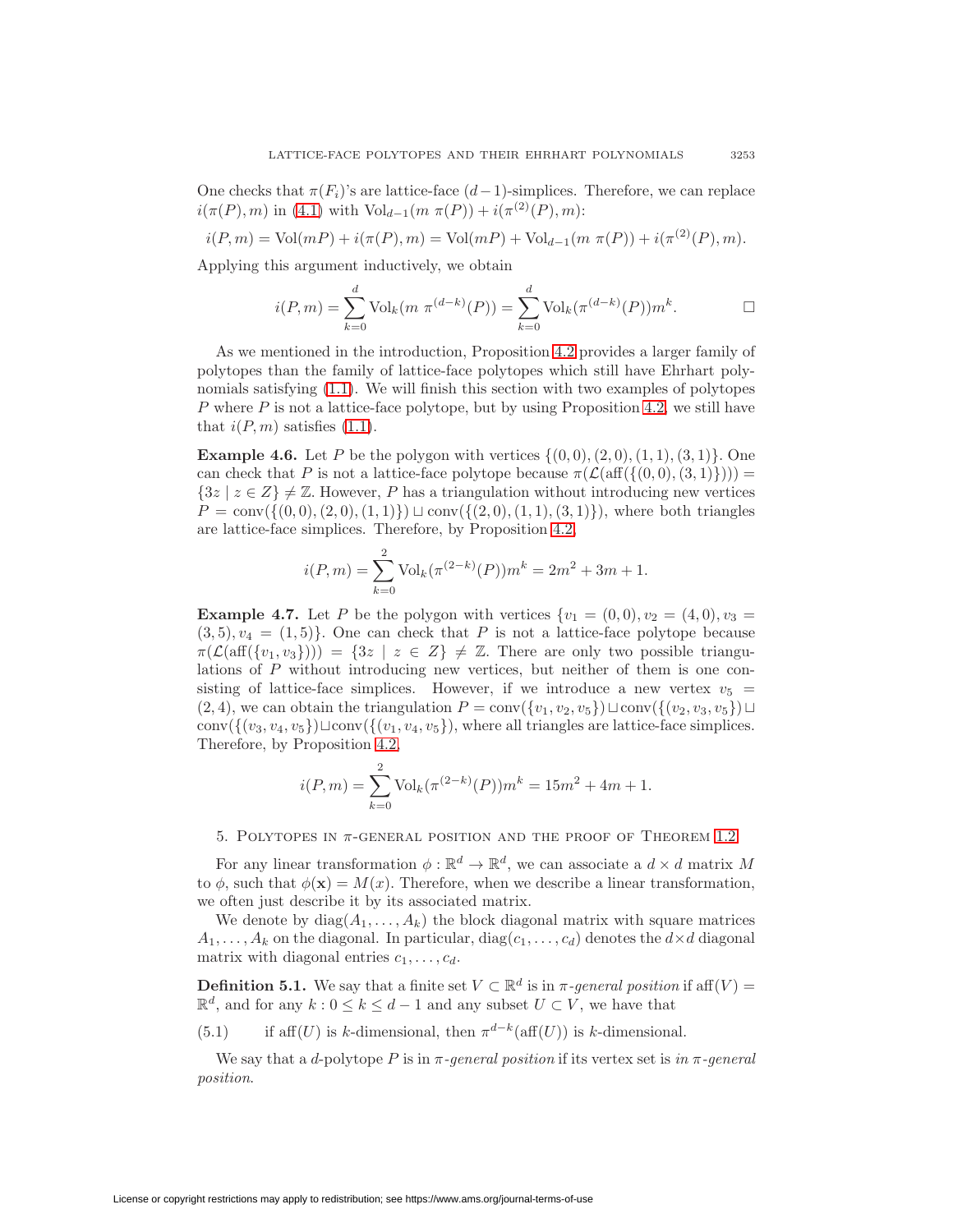One checks that  $\pi(F_i)$ 's are lattice-face  $(d-1)$ -simplices. Therefore, we can replace  $i(\pi(P), m)$  in [\(4.1\)](#page-5-3) with Vol<sub>d−1</sub>( $m \pi(P)$ ) +  $i(\pi^{(2)}(P), m)$ :

$$
i(P, m) = Vol(mP) + i(\pi(P), m) = Vol(mP) + Vol_{d-1}(m \pi(P)) + i(\pi^{(2)}(P), m).
$$

Applying this argument inductively, we obtain

$$
i(P,m) = \sum_{k=0}^{d} \text{Vol}_k(m \ \pi^{(d-k)}(P)) = \sum_{k=0}^{d} \text{Vol}_k(\pi^{(d-k)}(P))m^k.
$$

As we mentioned in the introduction, Proposition [4.2](#page-5-0) provides a larger family of polytopes than the family of lattice-face polytopes which still have Ehrhart polynomials satisfying [\(1.1\)](#page-1-0). We will finish this section with two examples of polytopes  $P$  where  $P$  is not a lattice-face polytope, but by using Proposition [4.2,](#page-5-0) we still have that  $i(P, m)$  satisfies  $(1.1)$ .

<span id="page-6-0"></span>**Example 4.6.** Let P be the polygon with vertices  $\{(0,0), (2,0), (1,1), (3,1)\}$ . One can check that P is not a lattice-face polytope because  $\pi(\mathcal{L}(\text{aff}(\{(0,0), (3, 1)\})) =$  ${3z | z \in Z} \neq \mathbb{Z}$ . However, P has a triangulation without introducing new vertices  $P = \text{conv}\{\{(0, 0), (2, 0), (1, 1)\}\}\sqcup \text{conv}\{\{(2, 0), (1, 1), (3, 1)\}\}\)$ , where both triangles are lattice-face simplices. Therefore, by Proposition [4.2,](#page-5-0)

$$
i(P, m) = \sum_{k=0}^{2} \text{Vol}_k(\pi^{(2-k)}(P))m^k = 2m^2 + 3m + 1.
$$

<span id="page-6-1"></span>**Example 4.7.** Let P be the polygon with vertices  $\{v_1 = (0, 0), v_2 = (4, 0), v_3 =$  $(3, 5), v_4 = (1, 5)$ . One can check that P is not a lattice-face polytope because  $\pi(\mathcal{L}(\text{aff}({v_1,v_3}))) = {3z \mid z \in Z} \neq \mathbb{Z}$ . There are only two possible triangulations of  $P$  without introducing new vertices, but neither of them is one consisting of lattice-face simplices. However, if we introduce a new vertex  $v_5$  =  $(2, 4)$ , we can obtain the triangulation  $P = \text{conv}(\{v_1, v_2, v_5\})\sqcup \text{conv}(\{(v_2, v_3, v_5\})\sqcup$ conv( $\{(v_3, v_4, v_5\})\sqcup \text{conv}(\{(v_1, v_4, v_5\}),$  where all triangles are lattice-face simplices. Therefore, by Proposition [4.2,](#page-5-0)

<span id="page-6-2"></span>
$$
i(P,m) = \sum_{k=0}^{2} \text{Vol}_k(\pi^{(2-k)}(P))m^k = 15m^2 + 4m + 1.
$$

### 5. POLYTOPES IN  $\pi$ -GENERAL POSITION AND THE PROOF OF THEOREM [1.2](#page-1-2)

For any linear transformation  $\phi : \mathbb{R}^d \to \mathbb{R}^d$ , we can associate a  $d \times d$  matrix M to  $\phi$ , such that  $\phi(\mathbf{x}) = M(x)$ . Therefore, when we describe a linear transformation, we often just describe it by its associated matrix.

We denote by  $diag(A_1,...,A_k)$  the block diagonal matrix with square matrices  $A_1,\ldots, A_k$  on the diagonal. In particular,  $diag(c_1,\ldots,c_d)$  denotes the  $d\times d$  diagonal matrix with diagonal entries  $c_1, \ldots, c_d$ .

**Definition 5.1.** We say that a finite set  $V \subset \mathbb{R}^d$  is in  $\pi$ -general position if aff(V) =  $\mathbb{R}^d$ , and for any  $k: 0 \leq k \leq d-1$  and any subset  $U \subset V$ , we have that

(5.1) if aff $(U)$  is k-dimensional, then  $\pi^{d-k}(\text{aff}(U))$  is k-dimensional.

<span id="page-6-3"></span>We say that a d-polytope P is in  $\pi$ -general position if its vertex set is in  $\pi$ -general position.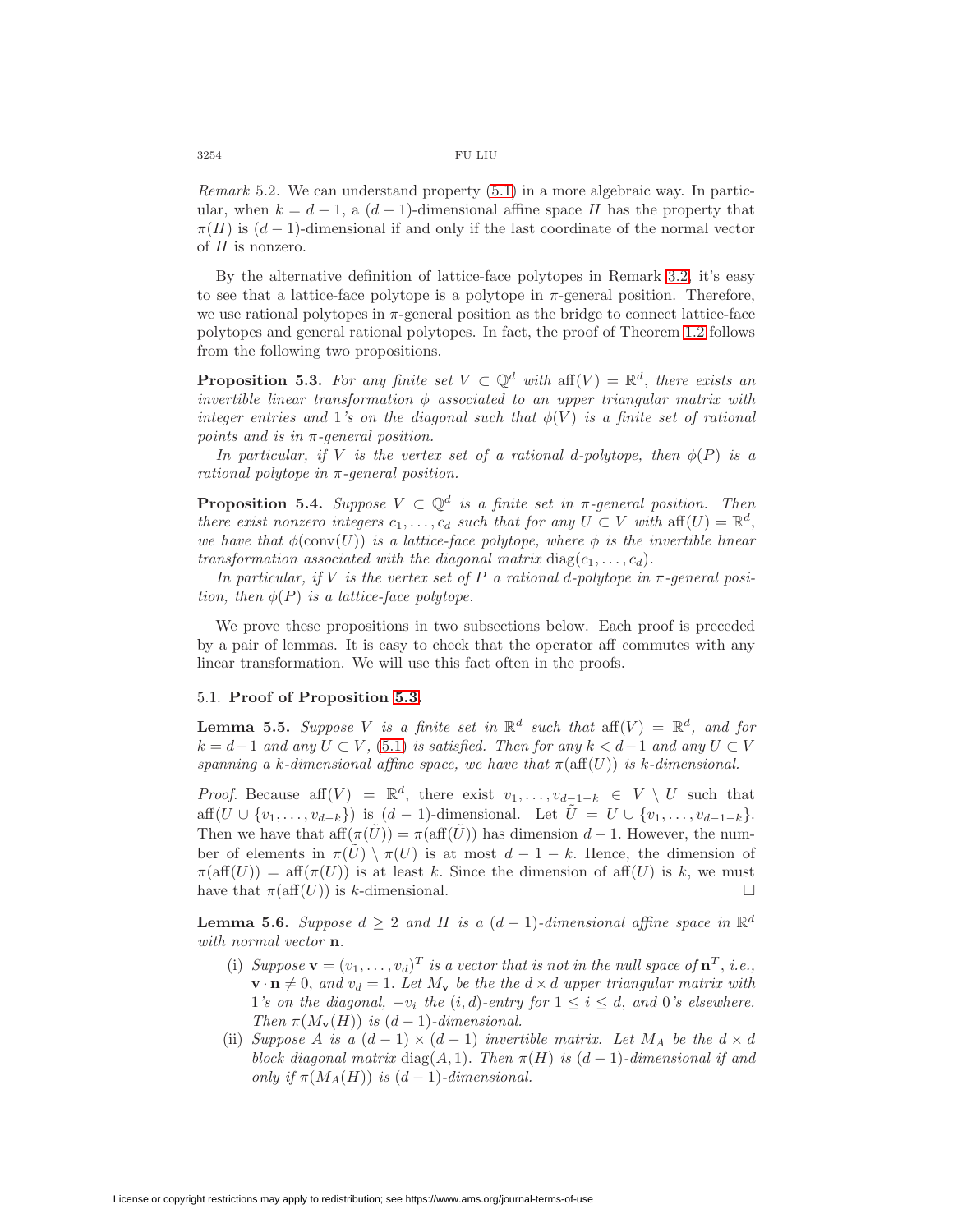Remark 5.2. We can understand property [\(5.1\)](#page-6-2) in a more algebraic way. In particular, when  $k = d - 1$ , a  $(d - 1)$ -dimensional affine space H has the property that  $\pi(H)$  is  $(d-1)$ -dimensional if and only if the last coordinate of the normal vector of  $H$  is nonzero.

By the alternative definition of lattice-face polytopes in Remark [3.2,](#page-3-2) it's easy to see that a lattice-face polytope is a polytope in  $\pi$ -general position. Therefore, we use rational polytopes in  $\pi$ -general position as the bridge to connect lattice-face polytopes and general rational polytopes. In fact, the proof of Theorem [1.2](#page-1-2) follows from the following two propositions.

<span id="page-7-0"></span>**Proposition 5.3.** For any finite set  $V \subset \mathbb{Q}^d$  with aff $(V) = \mathbb{R}^d$ , there exists an invertible linear transformation  $\phi$  associated to an upper triangular matrix with integer entries and 1's on the diagonal such that  $\phi(V)$  is a finite set of rational points and is in  $\pi$ -general position.

In particular, if V is the vertex set of a rational d-polytope, then  $\phi(P)$  is a rational polytope in  $\pi$ -general position.

<span id="page-7-3"></span>**Proposition 5.4.** Suppose  $V \subset \mathbb{Q}^d$  is a finite set in  $\pi$ -general position. Then there exist nonzero integers  $c_1, \ldots, c_d$  such that for any  $U \subset V$  with aff $(U) = \mathbb{R}^d$ , we have that  $\phi(\text{conv}(U))$  is a lattice-face polytope, where  $\phi$  is the invertible linear transformation associated with the diagonal matrix  $diag(c_1, \ldots, c_d)$ .

In particular, if V is the vertex set of P a rational d-polytope in  $\pi$ -general position, then  $\phi(P)$  is a lattice-face polytope.

We prove these propositions in two subsections below. Each proof is preceded by a pair of lemmas. It is easy to check that the operator aff commutes with any linear transformation. We will use this fact often in the proofs.

#### <span id="page-7-2"></span>5.1. **Proof of Proposition [5.3.](#page-7-0)**

**Lemma 5.5.** Suppose V is a finite set in ℝ<sup>d</sup> such that aff(V) = ℝ<sup>d</sup>, and for  $k = d-1$  and any  $\overline{U} \subset V$ , [\(5.1\)](#page-6-2) is satisfied. Then for any  $k < d-1$  and any  $U \subset V$ spanning a k-dimensional affine space, we have that  $\pi(\text{aff}(U))$  is k-dimensional.

*Proof.* Because aff $(V) = \mathbb{R}^d$ , there exist  $v_1, \ldots, v_{d-1-k} \in V \setminus U$  such that aff $(U \cup \{v_1,\ldots,v_{d-k}\})$  is  $(d-1)$ -dimensional. Let  $\tilde{U} = U \cup \{v_1,\ldots,v_{d-1-k}\}.$ Then we have that  $\text{aff}(\pi(\tilde{U})) = \pi(\text{aff}(\tilde{U}))$  has dimension  $d-1$ . However, the number of elements in  $\pi(\tilde{U}) \setminus \pi(U)$  is at most  $d-1-k$ . Hence, the dimension of  $\pi(\text{aff}(U)) = \text{aff}(\pi(U))$  is at least k. Since the dimension of aff $(U)$  is k, we must have that  $\pi(\text{aff}(U))$  is k-dimensional. □

<span id="page-7-1"></span>**Lemma 5.6.** Suppose  $d \geq 2$  and H is a  $(d-1)$ -dimensional affine space in  $\mathbb{R}^d$ with normal vector **n**.

- (i) Suppose  $\mathbf{v} = (v_1, \ldots, v_d)^T$  is a vector that is not in the null space of  $\mathbf{n}^T$ , i.e.,  $\mathbf{v} \cdot \mathbf{n} \neq 0$ , and  $v_d = 1$ . Let  $M_{\mathbf{v}}$  be the the  $d \times d$  upper triangular matrix with 1's on the diagonal,  $-v_i$  the  $(i, d)$ -entry for  $1 \le i \le d$ , and 0's elsewhere. Then  $\pi(M_{\mathbf{v}}(H))$  is  $(d-1)$ -dimensional.
- (ii) Suppose A is a  $(d 1) \times (d 1)$  invertible matrix. Let  $M_A$  be the  $d \times d$ block diagonal matrix diag(A, 1). Then  $\pi(H)$  is (d - 1)-dimensional if and only if  $\pi(M_A(H))$  is  $(d-1)$ -dimensional.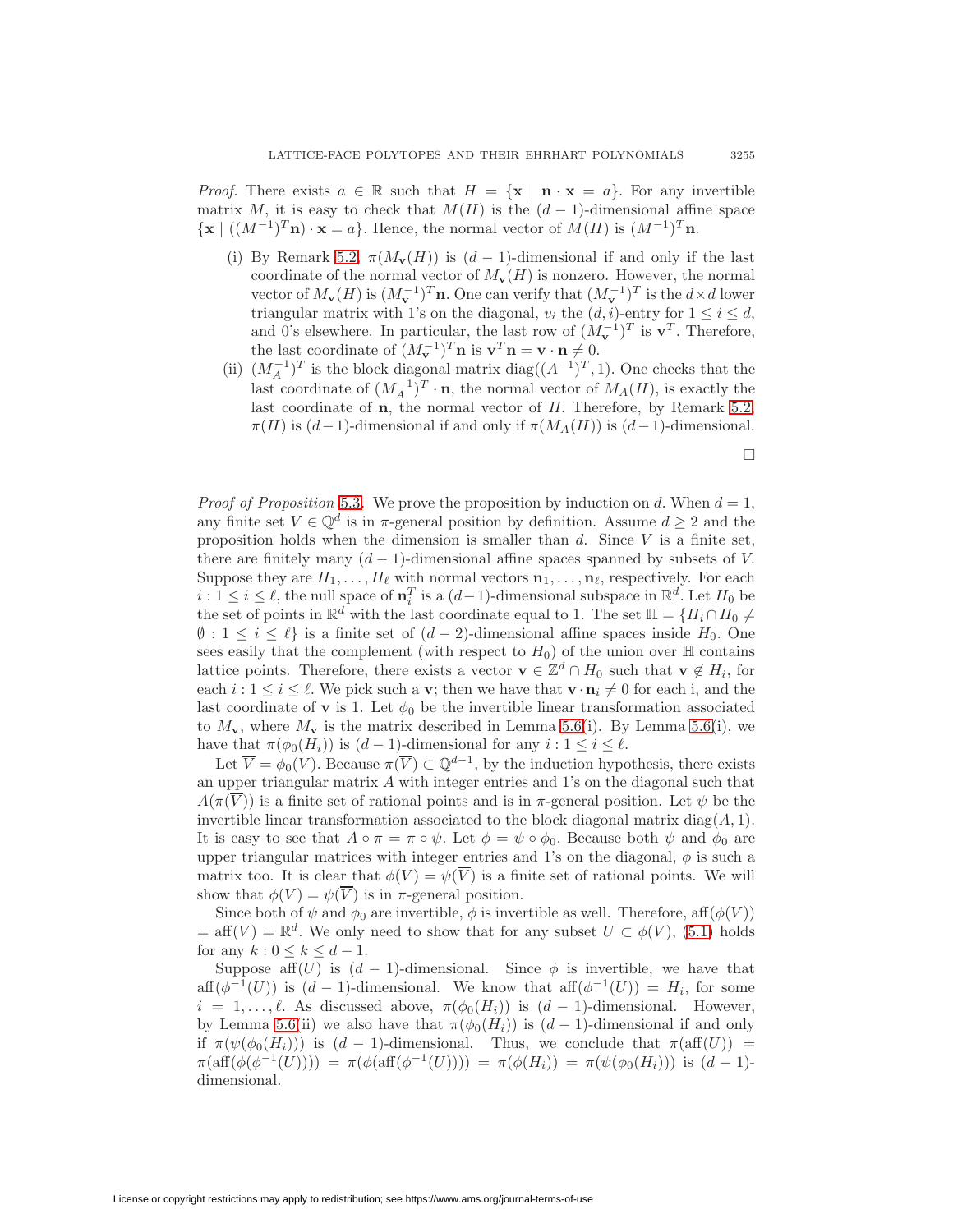*Proof.* There exists  $a \in \mathbb{R}$  such that  $H = \{x \mid \mathbf{n} \cdot \mathbf{x} = a\}$ . For any invertible matrix M, it is easy to check that  $M(H)$  is the  $(d-1)$ -dimensional affine space  $\{ \mathbf{x} \mid ((M^{-1})^T \mathbf{n}) \cdot \mathbf{x} = a \}.$  Hence, the normal vector of  $M(H)$  is  $(M^{-1})^T \mathbf{n}$ .

- (i) By Remark [5.2,](#page-6-3)  $\pi(M_{\mathbf{v}}(H))$  is  $(d-1)$ -dimensional if and only if the last coordinate of the normal vector of  $M_{\mathbf{v}}(H)$  is nonzero. However, the normal vector of  $M_{\mathbf{v}}(H)$  is  $(M_{\mathbf{v}}^{-1})^T$ **n**. One can verify that  $(M_{\mathbf{v}}^{-1})^T$  is the  $d \times d$  lower triangular matrix with 1's on the diagonal,  $v_i$  the  $(d, i)$ -entry for  $1 \leq i \leq d$ , and 0's elsewhere. In particular, the last row of  $(M_{\mathbf{v}}^{-1})^T$  is  $\mathbf{v}^T$ . Therefore, the last coordinate of  $(M_{\mathbf{v}}^{-1})^T \mathbf{n}$  is  $\mathbf{v}^T \mathbf{n} = \mathbf{v} \cdot \mathbf{n} \neq 0$ .
- (ii)  $(M_A^{-1})^T$  is the block diagonal matrix diag( $(A^{-1})^T$ , 1). One checks that the last coordinate of  $(M_A^{-1})^T \cdot \mathbf{n}$ , the normal vector of  $M_A(H)$ , is exactly the last coordinate of  $n$ , the normal vector of  $H$ . Therefore, by Remark [5.2,](#page-6-3)  $\pi(H)$  is  $(d-1)$ -dimensional if and only if  $\pi(M_A(H))$  is  $(d-1)$ -dimensional.

□

*Proof of Proposition* [5.3](#page-7-0). We prove the proposition by induction on d. When  $d = 1$ , any finite set  $V \in \mathbb{Q}^d$  is in  $\pi$ -general position by definition. Assume  $d \geq 2$  and the proposition holds when the dimension is smaller than  $d$ . Since  $V$  is a finite set, there are finitely many  $(d-1)$ -dimensional affine spaces spanned by subsets of V. Suppose they are  $H_1, \ldots, H_\ell$  with normal vectors  $\mathbf{n}_1, \ldots, \mathbf{n}_\ell$ , respectively. For each  $i: 1 \leq i \leq \ell$ , the null space of  $\mathbf{n}_i^T$  is a  $(d-1)$ -dimensional subspace in  $\mathbb{R}^d$ . Let  $H_0$  be the set of points in  $\mathbb{R}^d$  with the last coordinate equal to 1. The set  $\mathbb{H} = \{H_i \cap H_0 \neq$  $\emptyset$ :  $1 \leq i \leq \ell$  is a finite set of  $(d-2)$ -dimensional affine spaces inside  $H_0$ . One sees easily that the complement (with respect to  $H_0$ ) of the union over  $\mathbb H$  contains lattice points. Therefore, there exists a vector **v**  $\in \mathbb{Z}^d \cap H_0$  such that **v**  $\notin H_i$ , for each  $i: 1 \leq i \leq \ell$ . We pick such a **v**; then we have that  $\mathbf{v} \cdot \mathbf{n}_i \neq 0$  for each i, and the last coordinate of **v** is 1. Let  $\phi_0$  be the invertible linear transformation associated to  $M_{\mathbf{v}}$ , where  $M_{\mathbf{v}}$  is the matrix described in Lemma [5.6\(](#page-7-1)i). By Lemma 5.6(i), we have that  $\pi(\phi_0(H_i))$  is  $(d-1)$ -dimensional for any  $i: 1 \leq i \leq \ell$ .

Let  $\overline{V} = \phi_0(V)$ . Because  $\pi(\overline{V}) \subset \mathbb{Q}^{d-1}$ , by the induction hypothesis, there exists an upper triangular matrix  $A$  with integer entries and 1's on the diagonal such that  $A(\pi(\overline{V}))$  is a finite set of rational points and is in  $\pi$ -general position. Let  $\psi$  be the invertible linear transformation associated to the block diagonal matrix diag $(A, 1)$ . It is easy to see that  $A \circ \pi = \pi \circ \psi$ . Let  $\phi = \psi \circ \phi_0$ . Because both  $\psi$  and  $\phi_0$  are upper triangular matrices with integer entries and 1's on the diagonal,  $\phi$  is such a matrix too. It is clear that  $\phi(V) = \psi(\overline{V})$  is a finite set of rational points. We will show that  $\phi(V) = \psi(\overline{V})$  is in  $\pi$ -general position.

Since both of  $\psi$  and  $\phi_0$  are invertible,  $\phi$  is invertible as well. Therefore, aff( $\phi(V)$ )  $=\text{aff}( V) = \mathbb{R}^d$ . We only need to show that for any subset  $U \subset \phi(V)$ , [\(5.1\)](#page-6-2) holds for any  $k: 0 \leq k \leq d-1$ .

Suppose aff $(U)$  is  $(d-1)$ -dimensional. Since  $\phi$  is invertible, we have that aff( $\phi^{-1}(U)$ ) is  $(d-1)$ -dimensional. We know that aff $(\phi^{-1}(U)) = H_i$ , for some  $i = 1, \ldots, \ell$ . As discussed above,  $\pi(\phi_0(H_i))$  is  $(d-1)$ -dimensional. However, by Lemma [5.6\(](#page-7-1)ii) we also have that  $\pi(\phi_0(H_i))$  is  $(d-1)$ -dimensional if and only if  $\pi(\psi(\phi_0(H_i)))$  is  $(d-1)$ -dimensional. Thus, we conclude that  $\pi(\text{aff}(U))$  =  $\pi(\text{aff}(\phi(\phi^{-1}(U)))) = \pi(\phi(\text{aff}(\phi^{-1}(U)))) = \pi(\phi(H_i)) = \pi(\psi(\phi_0(H_i)))$  is  $(d-1)$ dimensional.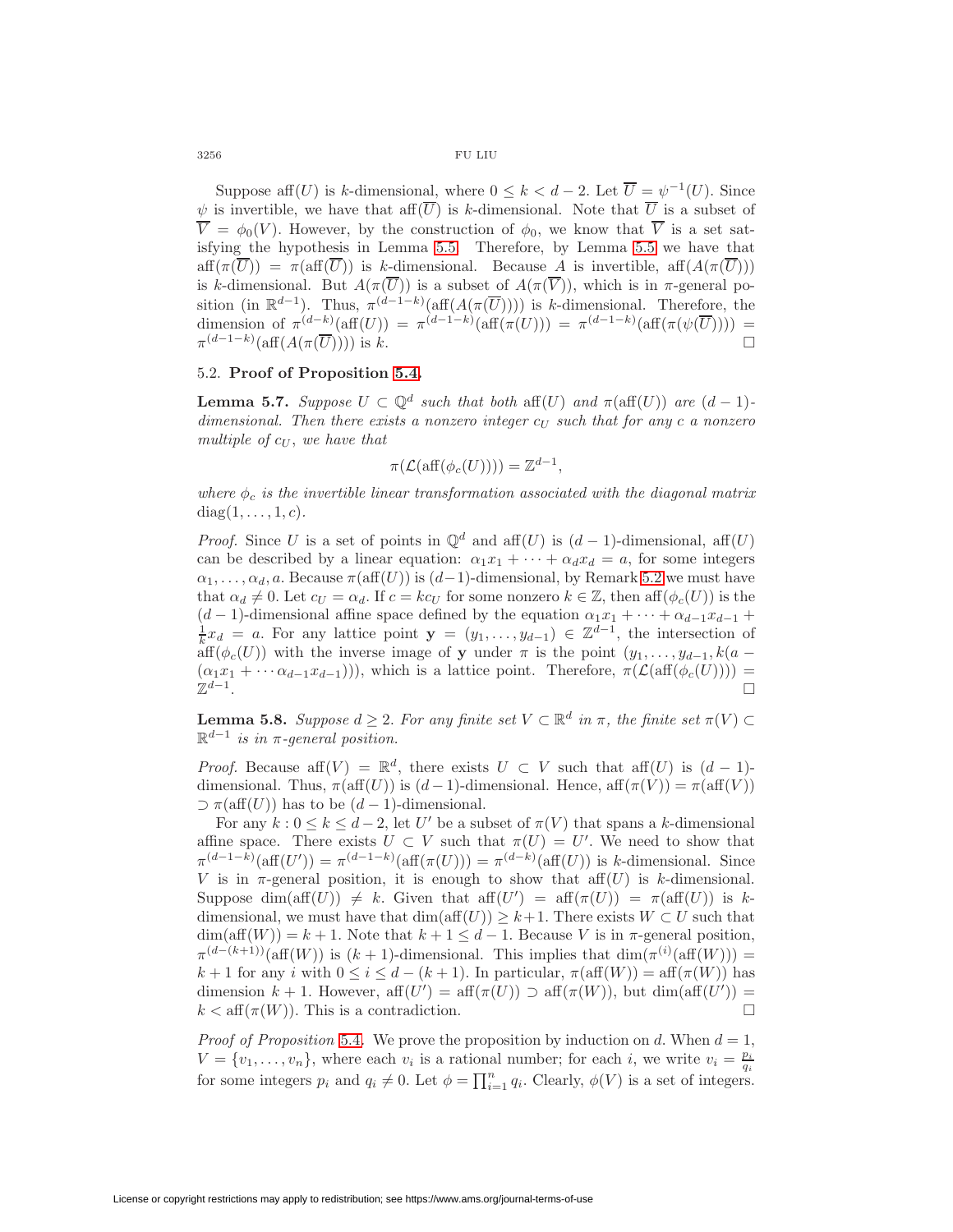$3256$   $$\rm FU~LIU$ 

Suppose aff $(U)$  is k-dimensional, where  $0 \leq k < d-2$ . Let  $\overline{U} = \psi^{-1}(U)$ . Since  $\psi$  is invertible, we have that aff $(\overline{U})$  is k-dimensional. Note that  $\overline{U}$  is a subset of  $\overline{V} = \phi_0(V)$ . However, by the construction of  $\phi_0$ , we know that  $\overline{V}$  is a set satisfying the hypothesis in Lemma [5.5.](#page-7-2) Therefore, by Lemma [5.5](#page-7-2) we have that  $aff(\pi(\overline{U})) = \pi(aff(\overline{U}))$  is k-dimensional. Because A is invertible,  $aff(A(\pi(\overline{U})))$ is k-dimensional. But  $A(\pi(\overline{U}))$  is a subset of  $A(\pi(\overline{V}))$ , which is in  $\pi$ -general position (in  $\mathbb{R}^{d-1}$ ). Thus,  $\pi^{(d-1-k)}(\text{aff}(A(\pi(\overline{U}))))$  is k-dimensional. Therefore, the dimension of  $\pi^{(d-k)}(\text{aff}(U)) = \pi^{(d-1-k)}(\text{aff}(\pi(U))) = \pi^{(d-1-k)}(\text{aff}(\pi(\psi(\overline{U})))) =$  $\pi^{(d-1-k)}(\text{aff}(A(\pi(\overline{U}))))$  is k.

# <span id="page-9-1"></span>5.2. **Proof of Proposition [5.4.](#page-7-3)**

**Lemma 5.7.** Suppose  $U \subset \mathbb{Q}^d$  such that both aff(U) and  $\pi(\text{aff}(U))$  are  $(d-1)$ dimensional. Then there exists a nonzero integer  $c_U$  such that for any  $c$  a nonzero multiple of  $c_{U}$ , we have that

$$
\pi(\mathcal{L}(\text{aff}(\phi_c(U)))) = \mathbb{Z}^{d-1},
$$

where  $\phi_c$  is the invertible linear transformation associated with the diagonal matrix  $diag(1,\ldots,1,c)$ .

*Proof.* Since U is a set of points in  $\mathbb{Q}^d$  and aff $(U)$  is  $(d-1)$ -dimensional, aff $(U)$ can be described by a linear equation:  $\alpha_1 x_1 + \cdots + \alpha_d x_d = a$ , for some integers  $\alpha_1,\ldots,\alpha_d, a$ . Because  $\pi(\text{aff}(U))$  is  $(d-1)$ -dimensional, by Remark [5.2](#page-6-3) we must have that  $\alpha_d \neq 0$ . Let  $c_U = \alpha_d$ . If  $c = k c_U$  for some nonzero  $k \in \mathbb{Z}$ , then aff $(\phi_c(U))$  is the  $(d-1)$ -dimensional affine space defined by the equation  $\alpha_1 x_1 + \cdots + \alpha_{d-1} x_{d-1} +$  $\frac{1}{k}x_d = a$ . For any lattice point **y** =  $(y_1, \ldots, y_{d-1}) \in \mathbb{Z}^{d-1}$ , the intersection of  $\operatorname{aff}(\phi_c(U))$  with the inverse image of **y** under  $\pi$  is the point  $(y_1,\ldots,y_{d-1},k(a-d))$  $(\alpha_1 x_1 + \cdots \alpha_{d-1} x_{d-1}))$ , which is a lattice point. Therefore,  $\pi(\mathcal{L}(\text{aff}(\phi_c(U)))) = \mathbb{Z}^{d-1}$ .  $\mathbb{Z}^{d-1}$ .

<span id="page-9-0"></span>**Lemma 5.8.** Suppose  $d \geq 2$ . For any finite set  $V \subset \mathbb{R}^d$  in  $\pi$ , the finite set  $\pi(V) \subset$  $\mathbb{R}^{d-1}$  is in  $\pi$ -general position.

*Proof.* Because aff $(V) = \mathbb{R}^d$ , there exists  $U \subset V$  such that aff $(U)$  is  $(d-1)$ dimensional. Thus,  $\pi(\text{aff}(U))$  is  $(d-1)$ -dimensional. Hence,  $\text{aff}(\pi(V)) = \pi(\text{aff}(V))$  $\supset \pi(\text{aff}(U))$  has to be  $(d-1)$ -dimensional.

For any  $k: 0 \le k \le d-2$ , let U' be a subset of  $\pi(V)$  that spans a k-dimensional affine space. There exists  $U \subset V$  such that  $\pi(U) = U'$ . We need to show that  $\pi^{(d-1-k)}(\text{aff}(U')) = \pi^{(d-1-k)}(\text{aff}(\pi(U))) = \pi^{(d-k)}(\text{aff}(U))$  is k-dimensional. Since V is in  $\pi$ -general position, it is enough to show that aff $(U)$  is k-dimensional. Suppose dim(aff(U))  $\neq k$ . Given that aff(U') = aff( $\pi$ (U)) =  $\pi$ (aff(U)) is kdimensional, we must have that  $\dim(\text{aff}(U)) \geq k+1$ . There exists  $W \subset U$  such that  $\dim(\text{aff}(W)) = k + 1$ . Note that  $k + 1 \leq d - 1$ . Because V is in  $\pi$ -general position,  $\pi^{(d-(k+1))}(\text{aff}(W))$  is  $(k+1)$ -dimensional. This implies that  $\dim(\pi^{(i)}(\text{aff}(W)))$  =  $k+1$  for any i with  $0 \leq i \leq d-(k+1)$ . In particular,  $\pi(\text{aff}(W)) = \text{aff}(\pi(W))$  has dimension  $k + 1$ . However,  $\operatorname{aff}(U') = \operatorname{aff}(\pi(U)) \supset \operatorname{aff}(\pi(W))$ , but  $\dim(\operatorname{aff}(U')) =$  $k < \text{aff}(\pi(W))$ . This is a contradiction. □

*Proof of Proposition* [5.4](#page-7-3). We prove the proposition by induction on d. When  $d = 1$ ,  $V = \{v_1, \ldots, v_n\}$ , where each  $v_i$  is a rational number; for each i, we write  $v_i = \frac{p_i}{q_i}$ for some integers  $p_i$  and  $q_i \neq 0$ . Let  $\phi = \prod_{i=1}^n q_i$ . Clearly,  $\phi(V)$  is a set of integers.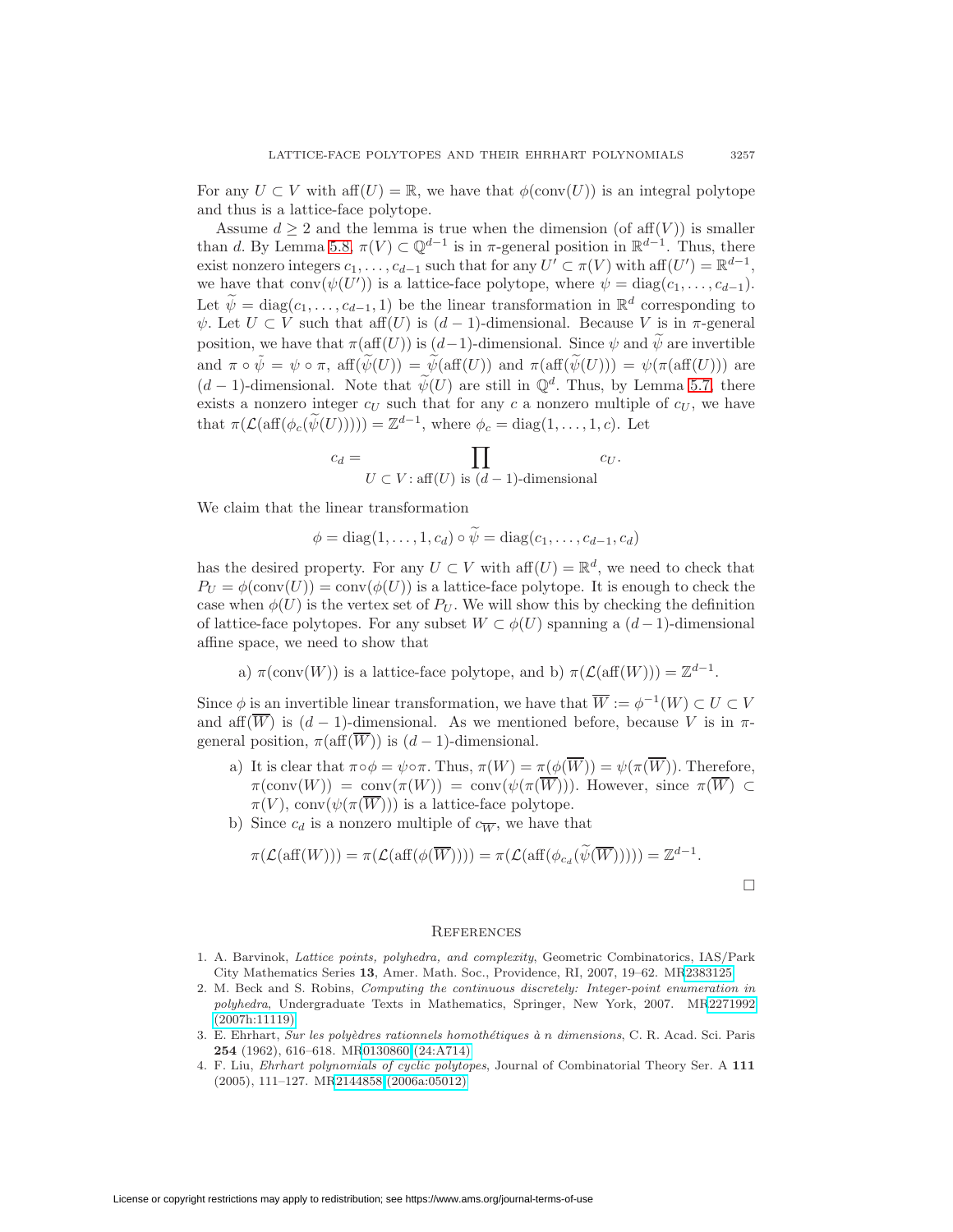For any  $U \subset V$  with aff $(U) = \mathbb{R}$ , we have that  $\phi(\text{conv}(U))$  is an integral polytope and thus is a lattice-face polytope.

Assume  $d \geq 2$  and the lemma is true when the dimension (of aff $(V)$ ) is smaller than d. By Lemma [5.8,](#page-9-0)  $\pi(V) \subset \mathbb{Q}^{d-1}$  is in  $\pi$ -general position in  $\mathbb{R}^{d-1}$ . Thus, there exist nonzero integers  $c_1, \ldots, c_{d-1}$  such that for any  $U' \subset \pi(V)$  with aff $(U') = \mathbb{R}^{d-1}$ , we have that conv $(\psi(U'))$  is a lattice-face polytope, where  $\psi = \text{diag}(c_1, \ldots, c_{d-1}).$ Let  $\widetilde{\psi} = \text{diag}(c_1,\ldots,c_{d-1}, 1)$  be the linear transformation in  $\mathbb{R}^d$  corresponding to  $\psi$ . Let  $U \subset V$  such that aff $(U)$  is  $(d-1)$ -dimensional. Because V is in  $\pi$ -general position, we have that  $\pi(\text{aff}(U))$  is  $(d-1)$ -dimensional. Since  $\psi$  and  $\widetilde{\psi}$  are invertible and  $\pi \circ \tilde{\psi} = \psi \circ \pi$ , aff $(\tilde{\psi}(U)) = \tilde{\psi}(\text{aff}(U))$  and  $\pi(\text{aff}(\tilde{\psi}(U))) = \psi(\pi(\text{aff}(U)))$  are  $(d-1)$ -dimensional. Note that  $\widetilde{\psi}(U)$  are still in  $\mathbb{Q}^d$ . Thus, by Lemma [5.7,](#page-9-1) there exists a nonzero integer  $c_U$  such that for any  $c$  a nonzero multiple of  $c_U$ , we have that  $\pi(\mathcal{L}(\text{aff}(\phi_c(\widetilde{\psi}(U)))) = \mathbb{Z}^{d-1}$ , where  $\phi_c = \text{diag}(1,\ldots,1,c)$ . Let

$$
c_d = \prod_{U \subset V : \text{aff}(U) \text{ is } (d-1)\text{-dimensional}} c_U.
$$

We claim that the linear transformation

$$
\phi = diag(1,\ldots,1,c_d) \circ \psi = diag(c_1,\ldots,c_{d-1},c_d)
$$

has the desired property. For any  $U \subset V$  with aff $(U) = \mathbb{R}^d$ , we need to check that  $P_U = \phi(\text{conv}(U)) = \text{conv}(\phi(U))$  is a lattice-face polytope. It is enough to check the case when  $\phi(U)$  is the vertex set of  $P_U$ . We will show this by checking the definition of lattice-face polytopes. For any subset  $W \subset \phi(U)$  spanning a  $(d-1)$ -dimensional affine space, we need to show that

a)  $\pi(\text{conv}(W))$  is a lattice-face polytope, and b)  $\pi(\mathcal{L}(\text{aff}(W))) = \mathbb{Z}^{d-1}$ .

Since  $\phi$  is an invertible linear transformation, we have that  $\overline{W} := \phi^{-1}(W) \subset U \subset V$ and aff $(\overline{W})$  is  $(d-1)$ -dimensional. As we mentioned before, because V is in  $\pi$ general position,  $\pi(\text{aff}(\overline{W}))$  is  $(d-1)$ -dimensional.

- a) It is clear that  $\pi \circ \phi = \psi \circ \pi$ . Thus,  $\pi(W) = \pi(\phi(\overline{W})) = \psi(\pi(\overline{W}))$ . Therefore,  $\pi(\text{conv}(W)) = \text{conv}(\pi(W)) = \text{conv}(\psi(\pi(\overline{W}))).$  However, since  $\pi(\overline{W}) \subset$  $\pi(V)$ , conv $(\psi(\pi(\overline{W})))$  is a lattice-face polytope.
- b) Since  $c_d$  is a nonzero multiple of  $c_{\overline{W}}$ , we have that

$$
\pi(\mathcal{L}(\text{aff}(W))) = \pi(\mathcal{L}(\text{aff}(\phi(\overline{W})))) = \pi(\mathcal{L}(\text{aff}(\phi_{c_d}(\widetilde{\psi}(\overline{W})))) = \mathbb{Z}^{d-1}.
$$

# **REFERENCES**

- <span id="page-10-1"></span>1. A. Barvinok, Lattice points, polyhedra, and complexity, Geometric Combinatorics, IAS/Park City Mathematics Series **13**, Amer. Math. Soc., Providence, RI, 2007, 19–62. M[R2383125](http://www.ams.org/mathscinet-getitem?mr=2383125)
- <span id="page-10-2"></span>2. M. Beck and S. Robins, Computing the continuous discretely: Integer-point enumeration in polyhedra, Undergraduate Texts in Mathematics, Springer, New York, 2007. M[R2271992](http://www.ams.org/mathscinet-getitem?mr=2271992) [\(2007h:11119\)](http://www.ams.org/mathscinet-getitem?mr=2271992)
- <span id="page-10-0"></span>3. E. Ehrhart, Sur les polyèdres rationnels homothétiques à n dimensions, C. R. Acad. Sci. Paris **254** (1962), 616–618. M[R0130860 \(24:A714\)](http://www.ams.org/mathscinet-getitem?mr=0130860)
- <span id="page-10-3"></span>4. F. Liu, Ehrhart polynomials of cyclic polytopes, Journal of Combinatorial Theory Ser. A **111** (2005), 111–127. M[R2144858 \(2006a:05012\)](http://www.ams.org/mathscinet-getitem?mr=2144858)